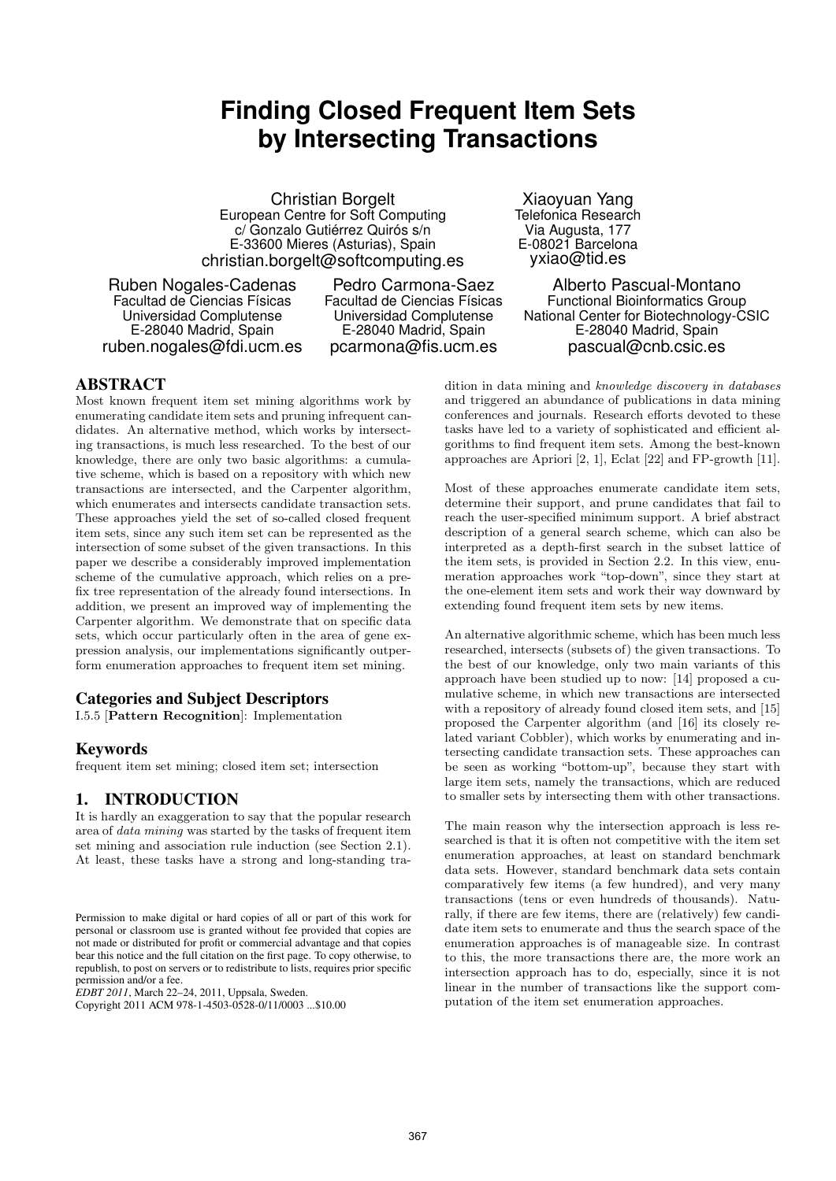# **Finding Closed Frequent Item Sets by Intersecting Transactions**

Christian Borgelt European Centre for Soft Computing c/ Gonzalo Gutiérrez Quirós s/n E-33600 Mieres (Asturias), Spain christian.borgelt@softcomputing.es

Ruben Nogales-Cadenas Facultad de Ciencias Físicas Universidad Complutense E-28040 Madrid, Spain ruben.nogales@fdi.ucm.es

Pedro Carmona-Saez Facultad de Ciencias Físicas Universidad Complutense E-28040 Madrid, Spain pcarmona@fis.ucm.es

Xiaoyuan Yang Telefonica Research Via Augusta, 177 E-08021 Barcelona yxiao@tid.es

Alberto Pascual-Montano Functional Bioinformatics Group National Center for Biotechnology-CSIC E-28040 Madrid, Spain pascual@cnb.csic.es

# ABSTRACT

Most known frequent item set mining algorithms work by enumerating candidate item sets and pruning infrequent candidates. An alternative method, which works by intersecting transactions, is much less researched. To the best of our knowledge, there are only two basic algorithms: a cumulative scheme, which is based on a repository with which new transactions are intersected, and the Carpenter algorithm, which enumerates and intersects candidate transaction sets. These approaches yield the set of so-called closed frequent item sets, since any such item set can be represented as the intersection of some subset of the given transactions. In this paper we describe a considerably improved implementation scheme of the cumulative approach, which relies on a prefix tree representation of the already found intersections. In addition, we present an improved way of implementing the Carpenter algorithm. We demonstrate that on specific data sets, which occur particularly often in the area of gene expression analysis, our implementations significantly outperform enumeration approaches to frequent item set mining.

## Categories and Subject Descriptors

I.5.5 [Pattern Recognition]: Implementation

## Keywords

frequent item set mining; closed item set; intersection

## 1. INTRODUCTION

It is hardly an exaggeration to say that the popular research area of data mining was started by the tasks of frequent item set mining and association rule induction (see Section 2.1). At least, these tasks have a strong and long-standing tra-

*EDBT 2011*, March 22–24, 2011, Uppsala, Sweden.

Copyright 2011 ACM 978-1-4503-0528-0/11/0003 ...\$10.00

dition in data mining and knowledge discovery in databases and triggered an abundance of publications in data mining conferences and journals. Research efforts devoted to these tasks have led to a variety of sophisticated and efficient algorithms to find frequent item sets. Among the best-known approaches are Apriori [2, 1], Eclat [22] and FP-growth [11].

Most of these approaches enumerate candidate item sets, determine their support, and prune candidates that fail to reach the user-specified minimum support. A brief abstract description of a general search scheme, which can also be interpreted as a depth-first search in the subset lattice of the item sets, is provided in Section 2.2. In this view, enumeration approaches work "top-down", since they start at the one-element item sets and work their way downward by extending found frequent item sets by new items.

An alternative algorithmic scheme, which has been much less researched, intersects (subsets of) the given transactions. To the best of our knowledge, only two main variants of this approach have been studied up to now: [14] proposed a cumulative scheme, in which new transactions are intersected with a repository of already found closed item sets, and [15] proposed the Carpenter algorithm (and [16] its closely related variant Cobbler), which works by enumerating and intersecting candidate transaction sets. These approaches can be seen as working "bottom-up", because they start with large item sets, namely the transactions, which are reduced to smaller sets by intersecting them with other transactions.

The main reason why the intersection approach is less researched is that it is often not competitive with the item set enumeration approaches, at least on standard benchmark data sets. However, standard benchmark data sets contain comparatively few items (a few hundred), and very many transactions (tens or even hundreds of thousands). Naturally, if there are few items, there are (relatively) few candidate item sets to enumerate and thus the search space of the enumeration approaches is of manageable size. In contrast to this, the more transactions there are, the more work an intersection approach has to do, especially, since it is not linear in the number of transactions like the support computation of the item set enumeration approaches.

Permission to make digital or hard copies of all or part of this work for personal or classroom use is granted without fee provided that copies are not made or distributed for profit or commercial advantage and that copies bear this notice and the full citation on the first page. To copy otherwise, to republish, to post on servers or to redistribute to lists, requires prior specific permission and/or a fee.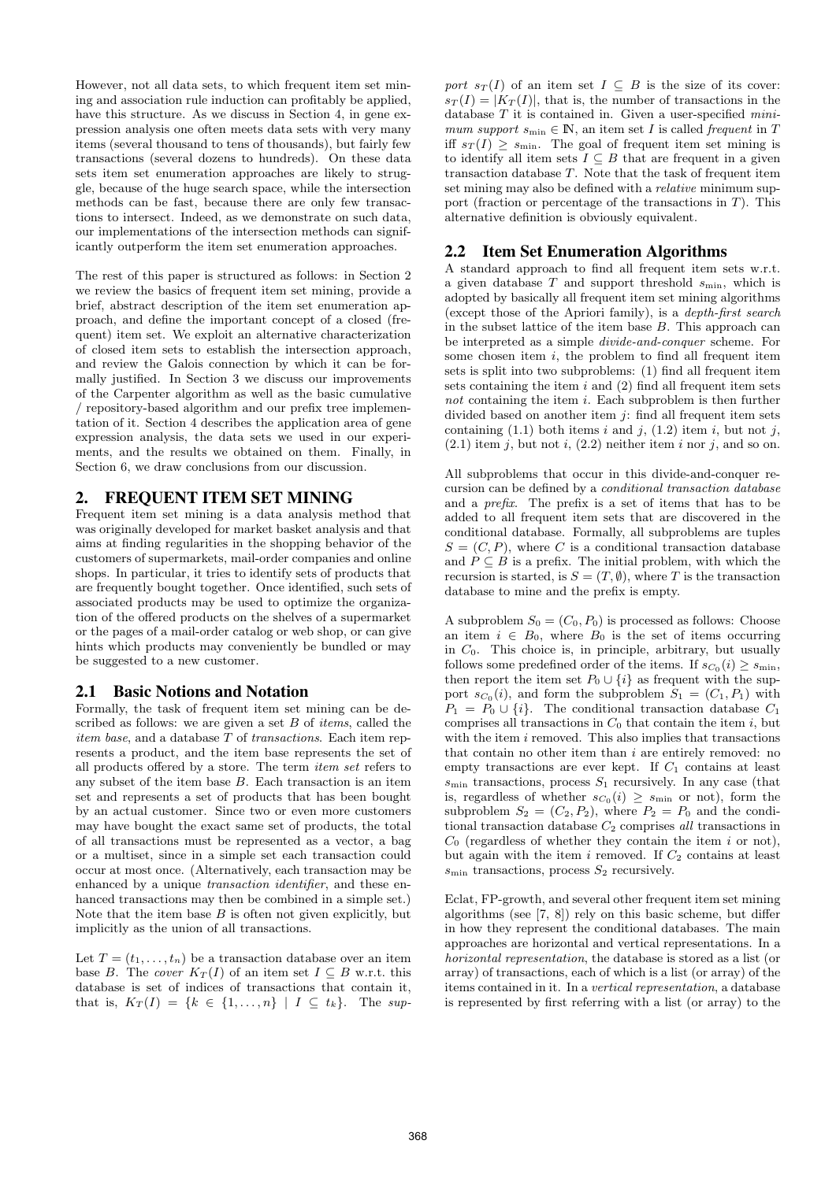However, not all data sets, to which frequent item set mining and association rule induction can profitably be applied, have this structure. As we discuss in Section 4, in gene expression analysis one often meets data sets with very many items (several thousand to tens of thousands), but fairly few transactions (several dozens to hundreds). On these data sets item set enumeration approaches are likely to struggle, because of the huge search space, while the intersection methods can be fast, because there are only few transactions to intersect. Indeed, as we demonstrate on such data, our implementations of the intersection methods can significantly outperform the item set enumeration approaches.

The rest of this paper is structured as follows: in Section 2 we review the basics of frequent item set mining, provide a brief, abstract description of the item set enumeration approach, and define the important concept of a closed (frequent) item set. We exploit an alternative characterization of closed item sets to establish the intersection approach, and review the Galois connection by which it can be formally justified. In Section 3 we discuss our improvements of the Carpenter algorithm as well as the basic cumulative / repository-based algorithm and our prefix tree implementation of it. Section 4 describes the application area of gene expression analysis, the data sets we used in our experiments, and the results we obtained on them. Finally, in Section 6, we draw conclusions from our discussion.

## 2. FREQUENT ITEM SET MINING

Frequent item set mining is a data analysis method that was originally developed for market basket analysis and that aims at finding regularities in the shopping behavior of the customers of supermarkets, mail-order companies and online shops. In particular, it tries to identify sets of products that are frequently bought together. Once identified, such sets of associated products may be used to optimize the organization of the offered products on the shelves of a supermarket or the pages of a mail-order catalog or web shop, or can give hints which products may conveniently be bundled or may be suggested to a new customer.

## 2.1 Basic Notions and Notation

Formally, the task of frequent item set mining can be described as follows: we are given a set  $B$  of *items*, called the item base, and a database T of transactions. Each item represents a product, and the item base represents the set of all products offered by a store. The term item set refers to any subset of the item base B. Each transaction is an item set and represents a set of products that has been bought by an actual customer. Since two or even more customers may have bought the exact same set of products, the total of all transactions must be represented as a vector, a bag or a multiset, since in a simple set each transaction could occur at most once. (Alternatively, each transaction may be enhanced by a unique transaction identifier, and these enhanced transactions may then be combined in a simple set.) Note that the item base  $B$  is often not given explicitly, but implicitly as the union of all transactions.

Let  $T = (t_1, \ldots, t_n)$  be a transaction database over an item base B. The cover  $K_T(I)$  of an item set  $I \subseteq B$  w.r.t. this database is set of indices of transactions that contain it, that is,  $K_T(I) = \{k \in \{1, ..., n\} \mid I \subseteq t_k\}$ . The sup-

port  $s_T(I)$  of an item set  $I \subseteq B$  is the size of its cover:  $s_T(I) = |K_T(I)|$ , that is, the number of transactions in the database T it is contained in. Given a user-specified minimum support  $s_{\min} \in \mathbb{N}$ , an item set I is called frequent in T iff  $s_T(I) \geq s_{\min}$ . The goal of frequent item set mining is to identify all item sets  $I \subseteq B$  that are frequent in a given transaction database  $T$ . Note that the task of frequent item set mining may also be defined with a relative minimum support (fraction or percentage of the transactions in  $T$ ). This alternative definition is obviously equivalent.

#### 2.2 Item Set Enumeration Algorithms

A standard approach to find all frequent item sets w.r.t. a given database  $T$  and support threshold  $s_{\min}$ , which is adopted by basically all frequent item set mining algorithms (except those of the Apriori family), is a depth-first search in the subset lattice of the item base B. This approach can be interpreted as a simple divide-and-conquer scheme. For some chosen item  $i$ , the problem to find all frequent item sets is split into two subproblems: (1) find all frequent item sets containing the item  $i$  and  $(2)$  find all frequent item sets not containing the item i. Each subproblem is then further divided based on another item  $j$ : find all frequent item sets containing  $(1.1)$  both items i and j,  $(1.2)$  item i, but not j,  $(2.1)$  item j, but not i,  $(2.2)$  neither item i nor j, and so on.

All subproblems that occur in this divide-and-conquer recursion can be defined by a conditional transaction database and a prefix. The prefix is a set of items that has to be added to all frequent item sets that are discovered in the conditional database. Formally, all subproblems are tuples  $S = (C, P)$ , where C is a conditional transaction database and  $P \subseteq B$  is a prefix. The initial problem, with which the recursion is started, is  $S = (T, \emptyset)$ , where T is the transaction database to mine and the prefix is empty.

A subproblem  $S_0 = (C_0, P_0)$  is processed as follows: Choose an item  $i \in B_0$ , where  $B_0$  is the set of items occurring in  $C_0$ . This choice is, in principle, arbitrary, but usually follows some predefined order of the items. If  $s_{C_0}(i) \geq s_{\min}$ , then report the item set  $P_0 \cup \{i\}$  as frequent with the support  $s_{C_0}(i)$ , and form the subproblem  $S_1 = (C_1, P_1)$  with  $P_1 = P_0 \cup \{i\}.$  The conditional transaction database  $C_1$ comprises all transactions in  $C_0$  that contain the item i, but with the item  $i$  removed. This also implies that transactions that contain no other item than  $i$  are entirely removed: no empty transactions are ever kept. If  $C_1$  contains at least  $s_{\min}$  transactions, process  $S_1$  recursively. In any case (that is, regardless of whether  $s_{C_0}(i) \geq s_{\min}$  or not), form the subproblem  $S_2 = (C_2, P_2)$ , where  $P_2 = P_0$  and the conditional transaction database  $C_2$  comprises all transactions in  $C_0$  (regardless of whether they contain the item i or not), but again with the item i removed. If  $C_2$  contains at least  $s_{\text{min}}$  transactions, process  $S_2$  recursively.

Eclat, FP-growth, and several other frequent item set mining algorithms (see [7, 8]) rely on this basic scheme, but differ in how they represent the conditional databases. The main approaches are horizontal and vertical representations. In a horizontal representation, the database is stored as a list (or array) of transactions, each of which is a list (or array) of the items contained in it. In a vertical representation, a database is represented by first referring with a list (or array) to the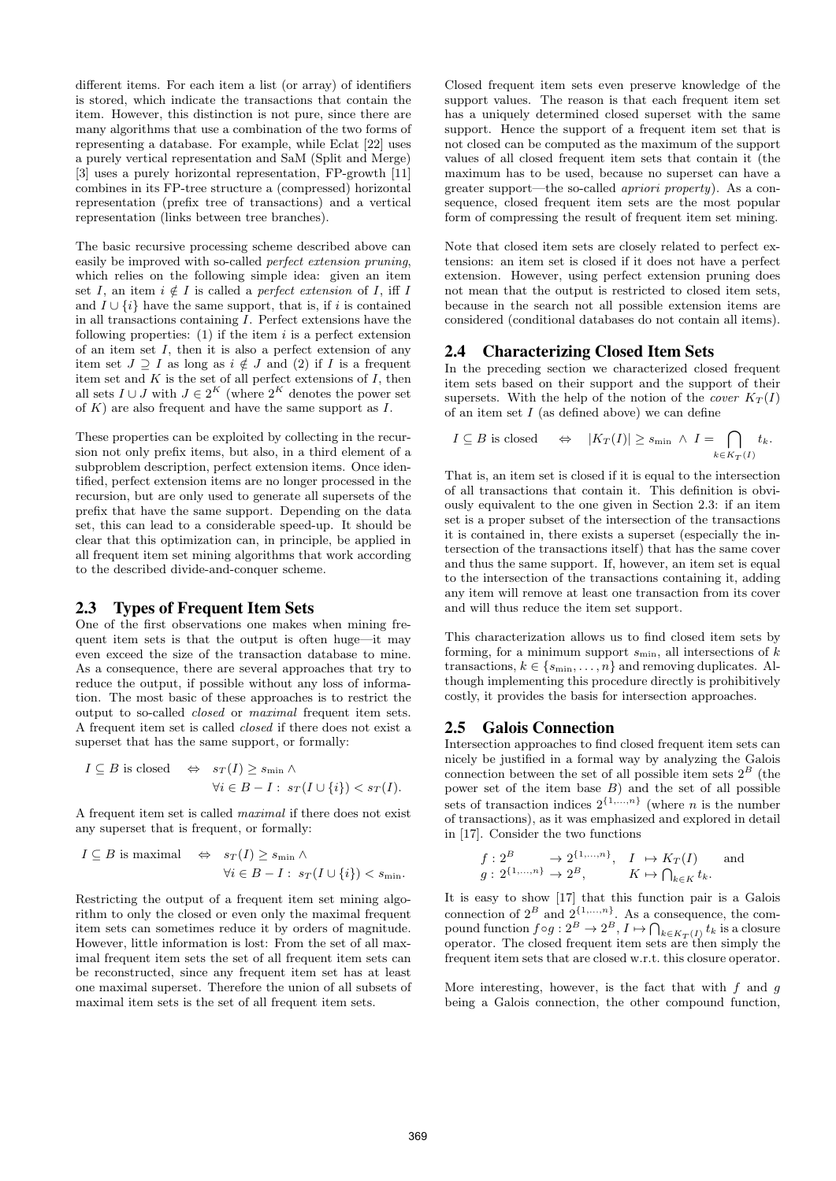different items. For each item a list (or array) of identifiers is stored, which indicate the transactions that contain the item. However, this distinction is not pure, since there are many algorithms that use a combination of the two forms of representing a database. For example, while Eclat [22] uses a purely vertical representation and SaM (Split and Merge) [3] uses a purely horizontal representation, FP-growth [11] combines in its FP-tree structure a (compressed) horizontal representation (prefix tree of transactions) and a vertical representation (links between tree branches).

The basic recursive processing scheme described above can easily be improved with so-called perfect extension pruning, which relies on the following simple idea: given an item set I, an item  $i \notin I$  is called a perfect extension of I, iff I and  $I \cup \{i\}$  have the same support, that is, if i is contained in all transactions containing  $\overline{I}$ . Perfect extensions have the following properties: (1) if the item  $i$  is a perfect extension of an item set  $I$ , then it is also a perfect extension of any item set  $J \supseteq I$  as long as  $i \notin J$  and (2) if I is a frequent item set and  $K$  is the set of all perfect extensions of  $I$ , then all sets  $I \cup J$  with  $J \in 2^K$  (where  $2^K$  denotes the power set of  $K$ ) are also frequent and have the same support as  $I$ .

These properties can be exploited by collecting in the recursion not only prefix items, but also, in a third element of a subproblem description, perfect extension items. Once identified, perfect extension items are no longer processed in the recursion, but are only used to generate all supersets of the prefix that have the same support. Depending on the data set, this can lead to a considerable speed-up. It should be clear that this optimization can, in principle, be applied in all frequent item set mining algorithms that work according to the described divide-and-conquer scheme.

## 2.3 Types of Frequent Item Sets

One of the first observations one makes when mining frequent item sets is that the output is often huge—it may even exceed the size of the transaction database to mine. As a consequence, there are several approaches that try to reduce the output, if possible without any loss of information. The most basic of these approaches is to restrict the output to so-called closed or maximal frequent item sets. A frequent item set is called closed if there does not exist a superset that has the same support, or formally:

$$
I \subseteq B \text{ is closed} \Leftrightarrow s_T(I) \ge s_{\min} \wedge
$$
  

$$
\forall i \in B - I : s_T(I \cup \{i\}) < s_T(I).
$$

A frequent item set is called maximal if there does not exist any superset that is frequent, or formally:

$$
I \subseteq B \text{ is maximal} \Leftrightarrow s_T(I) \ge s_{\min} \land
$$
  

$$
\forall i \in B - I : s_T(I \cup \{i\}) < s_{\min}.
$$

Restricting the output of a frequent item set mining algorithm to only the closed or even only the maximal frequent item sets can sometimes reduce it by orders of magnitude. However, little information is lost: From the set of all maximal frequent item sets the set of all frequent item sets can be reconstructed, since any frequent item set has at least one maximal superset. Therefore the union of all subsets of maximal item sets is the set of all frequent item sets.

Closed frequent item sets even preserve knowledge of the support values. The reason is that each frequent item set has a uniquely determined closed superset with the same support. Hence the support of a frequent item set that is not closed can be computed as the maximum of the support values of all closed frequent item sets that contain it (the maximum has to be used, because no superset can have a greater support—the so-called apriori property). As a consequence, closed frequent item sets are the most popular form of compressing the result of frequent item set mining.

Note that closed item sets are closely related to perfect extensions: an item set is closed if it does not have a perfect extension. However, using perfect extension pruning does not mean that the output is restricted to closed item sets, because in the search not all possible extension items are considered (conditional databases do not contain all items).

## 2.4 Characterizing Closed Item Sets

In the preceding section we characterized closed frequent item sets based on their support and the support of their supersets. With the help of the notion of the *cover*  $K_T(I)$ of an item set  $I$  (as defined above) we can define

$$
I \subseteq B \text{ is closed} \quad \Leftrightarrow \quad |K_T(I)| \ge s_{\min} \ \land \ I = \bigcap_{k \in K_T(I)} t_k.
$$

That is, an item set is closed if it is equal to the intersection of all transactions that contain it. This definition is obviously equivalent to the one given in Section 2.3: if an item set is a proper subset of the intersection of the transactions it is contained in, there exists a superset (especially the intersection of the transactions itself) that has the same cover and thus the same support. If, however, an item set is equal to the intersection of the transactions containing it, adding any item will remove at least one transaction from its cover and will thus reduce the item set support.

This characterization allows us to find closed item sets by forming, for a minimum support  $s_{\min}$ , all intersections of k transactions,  $k \in \{s_{\min}, \ldots, n\}$  and removing duplicates. Although implementing this procedure directly is prohibitively costly, it provides the basis for intersection approaches.

# 2.5 Galois Connection

Intersection approaches to find closed frequent item sets can nicely be justified in a formal way by analyzing the Galois connection between the set of all possible item sets  $2^B$  (the power set of the item base  $B$ ) and the set of all possible sets of transaction indices  $2^{\{1,\ldots,n\}}$  (where *n* is the number of transactions), as it was emphasized and explored in detail in [17]. Consider the two functions

$$
f: 2^B \rightarrow 2^{\{1,\ldots,n\}}, \quad I \mapsto K_T(I)
$$
 and  
\n $g: 2^{\{1,\ldots,n\}} \rightarrow 2^B, \quad K \mapsto \bigcap_{k \in K} t_k.$ 

It is easy to show [17] that this function pair is a Galois connection of  $2^B$  and  $2^{\{1,\ldots,n\}}$ . As a consequence, the compound function  $f \circ g : 2^B \to 2^B$ ,  $I \mapsto \bigcap_{k \in K_T(I)} t_k$  is a closure operator. The closed frequent item sets are then simply the frequent item sets that are closed w.r.t. this closure operator.

More interesting, however, is the fact that with  $f$  and  $g$ being a Galois connection, the other compound function,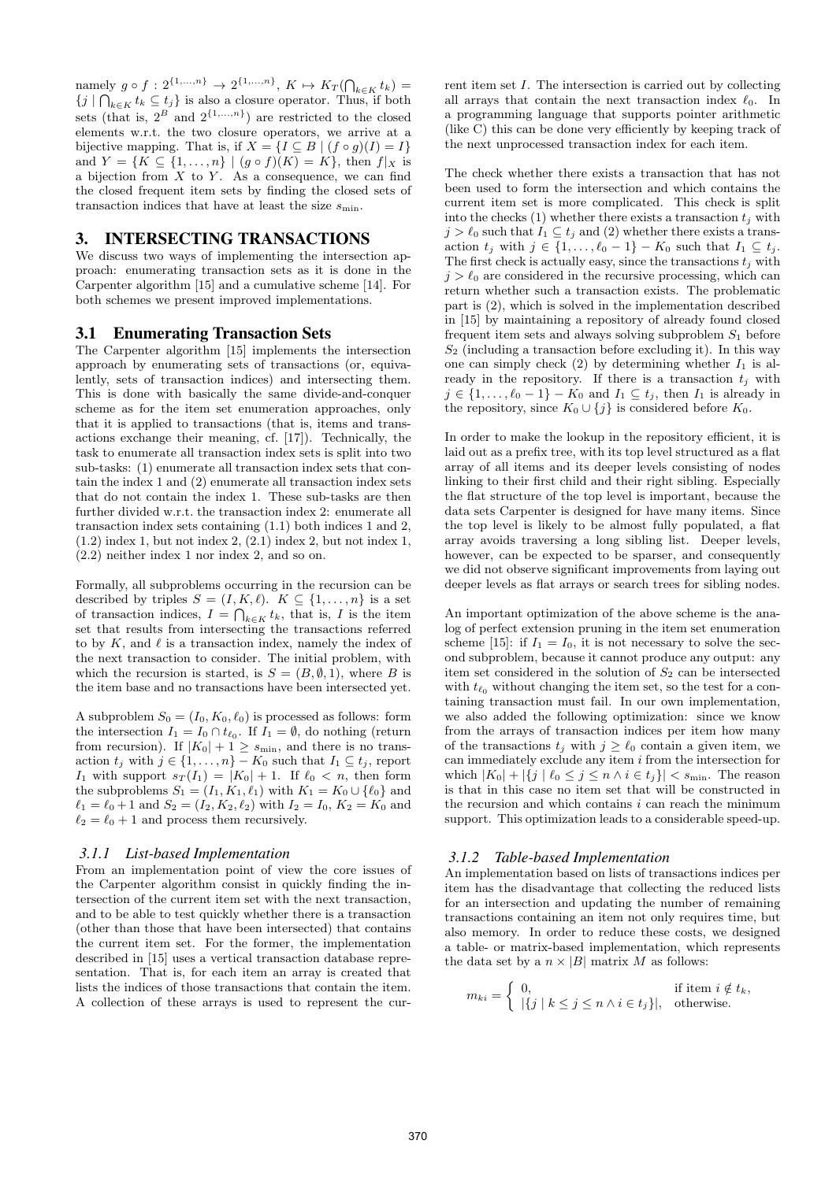namely  $g \circ f : 2^{\{1,...,n\}} \to 2^{\{1,...,n\}}$ ,  $K \mapsto K_T(\bigcap_{k \in K} t_k) =$  $\{j \mid \bigcap_{k \in K} t_k \subseteq t_j\}$  is also a closure operator. Thus, if both sets (that is,  $2^B$  and  $2^{\{1,\ldots,n\}}$ ) are restricted to the closed elements w.r.t. the two closure operators, we arrive at a bijective mapping. That is, if  $X = \{I \subseteq B \mid (f \circ g)(I) = I\}$ and  $Y = \{K \subseteq \{1, ..., n\} \mid (g \circ f)(K) = K\}$ , then  $f|_X$  is a bijection from  $X$  to  $Y$ . As a consequence, we can find the closed frequent item sets by finding the closed sets of transaction indices that have at least the size  $s_{\min}$ .

## 3. INTERSECTING TRANSACTIONS

We discuss two ways of implementing the intersection approach: enumerating transaction sets as it is done in the Carpenter algorithm [15] and a cumulative scheme [14]. For both schemes we present improved implementations.

#### 3.1 Enumerating Transaction Sets

The Carpenter algorithm [15] implements the intersection approach by enumerating sets of transactions (or, equivalently, sets of transaction indices) and intersecting them. This is done with basically the same divide-and-conquer scheme as for the item set enumeration approaches, only that it is applied to transactions (that is, items and transactions exchange their meaning, cf. [17]). Technically, the task to enumerate all transaction index sets is split into two sub-tasks: (1) enumerate all transaction index sets that contain the index 1 and (2) enumerate all transaction index sets that do not contain the index 1. These sub-tasks are then further divided w.r.t. the transaction index 2: enumerate all transaction index sets containing (1.1) both indices 1 and 2,  $(1.2)$  index 1, but not index 2,  $(2.1)$  index 2, but not index 1, (2.2) neither index 1 nor index 2, and so on.

Formally, all subproblems occurring in the recursion can be described by triples  $S = (I, K, \ell)$ .  $K \subseteq \{1, \ldots, n\}$  is a set of transaction indices,  $I = \bigcap_{k \in K} t_k$ , that is, I is the item set that results from intersecting the transactions referred to by  $K$ , and  $\ell$  is a transaction index, namely the index of the next transaction to consider. The initial problem, with which the recursion is started, is  $S = (B, \emptyset, 1)$ , where B is the item base and no transactions have been intersected yet.

A subproblem  $S_0 = (I_0, K_0, \ell_0)$  is processed as follows: form the intersection  $I_1 = I_0 \cap t_{\ell_0}$ . If  $I_1 = \emptyset$ , do nothing (return from recursion). If  $|K_0| + 1 \geq s_{\min}$ , and there is no transaction  $t_j$  with  $j \in \{1, \ldots, n\} - K_0$  such that  $I_1 \subseteq t_j$ , report  $I_1$  with support  $s_T(I_1) = |K_0| + 1$ . If  $\ell_0 < n$ , then form the subproblems  $S_1 = (I_1, K_1, \ell_1)$  with  $K_1 = K_0 \cup {\ell_0}$  and  $\ell_1 = \ell_0 + 1$  and  $S_2 = (I_2, K_2, \ell_2)$  with  $I_2 = I_0, K_2 = K_0$  and  $\ell_2 = \ell_0 + 1$  and process them recursively.

#### *3.1.1 List-based Implementation*

From an implementation point of view the core issues of the Carpenter algorithm consist in quickly finding the intersection of the current item set with the next transaction, and to be able to test quickly whether there is a transaction (other than those that have been intersected) that contains the current item set. For the former, the implementation described in [15] uses a vertical transaction database representation. That is, for each item an array is created that lists the indices of those transactions that contain the item. A collection of these arrays is used to represent the cur-

rent item set I. The intersection is carried out by collecting all arrays that contain the next transaction index  $\ell_0$ . In a programming language that supports pointer arithmetic (like C) this can be done very efficiently by keeping track of the next unprocessed transaction index for each item.

The check whether there exists a transaction that has not been used to form the intersection and which contains the current item set is more complicated. This check is split into the checks  $(1)$  whether there exists a transaction  $t_i$  with  $j > \ell_0$  such that  $I_1 \subseteq t_j$  and (2) whether there exists a transaction  $t_j$  with  $j \in \{1, \ldots, \ell_0 - 1\} - K_0$  such that  $I_1 \subseteq t_j$ . The first check is actually easy, since the transactions  $t_i$  with  $j > l_0$  are considered in the recursive processing, which can return whether such a transaction exists. The problematic part is (2), which is solved in the implementation described in [15] by maintaining a repository of already found closed frequent item sets and always solving subproblem  $S_1$  before  $S_2$  (including a transaction before excluding it). In this way one can simply check  $(2)$  by determining whether  $I_1$  is already in the repository. If there is a transaction  $t_i$  with  $j \in \{1, \ldots, \ell_0 - 1\} - K_0$  and  $I_1 \subseteq t_j$ , then  $I_1$  is already in the repository, since  $K_0 \cup \{j\}$  is considered before  $K_0$ .

In order to make the lookup in the repository efficient, it is laid out as a prefix tree, with its top level structured as a flat array of all items and its deeper levels consisting of nodes linking to their first child and their right sibling. Especially the flat structure of the top level is important, because the data sets Carpenter is designed for have many items. Since the top level is likely to be almost fully populated, a flat array avoids traversing a long sibling list. Deeper levels, however, can be expected to be sparser, and consequently we did not observe significant improvements from laying out deeper levels as flat arrays or search trees for sibling nodes.

An important optimization of the above scheme is the analog of perfect extension pruning in the item set enumeration scheme [15]: if  $I_1 = I_0$ , it is not necessary to solve the second subproblem, because it cannot produce any output: any item set considered in the solution of  $S_2$  can be intersected with  $t_{\ell_0}$  without changing the item set, so the test for a containing transaction must fail. In our own implementation, we also added the following optimization: since we know from the arrays of transaction indices per item how many of the transactions  $t_j$  with  $j \geq \ell_0$  contain a given item, we can immediately exclude any item i from the intersection for which  $|K_0| + |\{j \mid \ell_0 \leq j \leq n \land i \in t_j\}| < s_{\min}$ . The reason is that in this case no item set that will be constructed in the recursion and which contains  $i$  can reach the minimum support. This optimization leads to a considerable speed-up.

#### *3.1.2 Table-based Implementation*

An implementation based on lists of transactions indices per item has the disadvantage that collecting the reduced lists for an intersection and updating the number of remaining transactions containing an item not only requires time, but also memory. In order to reduce these costs, we designed a table- or matrix-based implementation, which represents the data set by a  $n \times |B|$  matrix M as follows:

$$
m_{ki} = \begin{cases} 0, & \text{if item } i \notin t_k, \\ |\{j \mid k \le j \le n \land i \in t_j\}|, & \text{otherwise.} \end{cases}
$$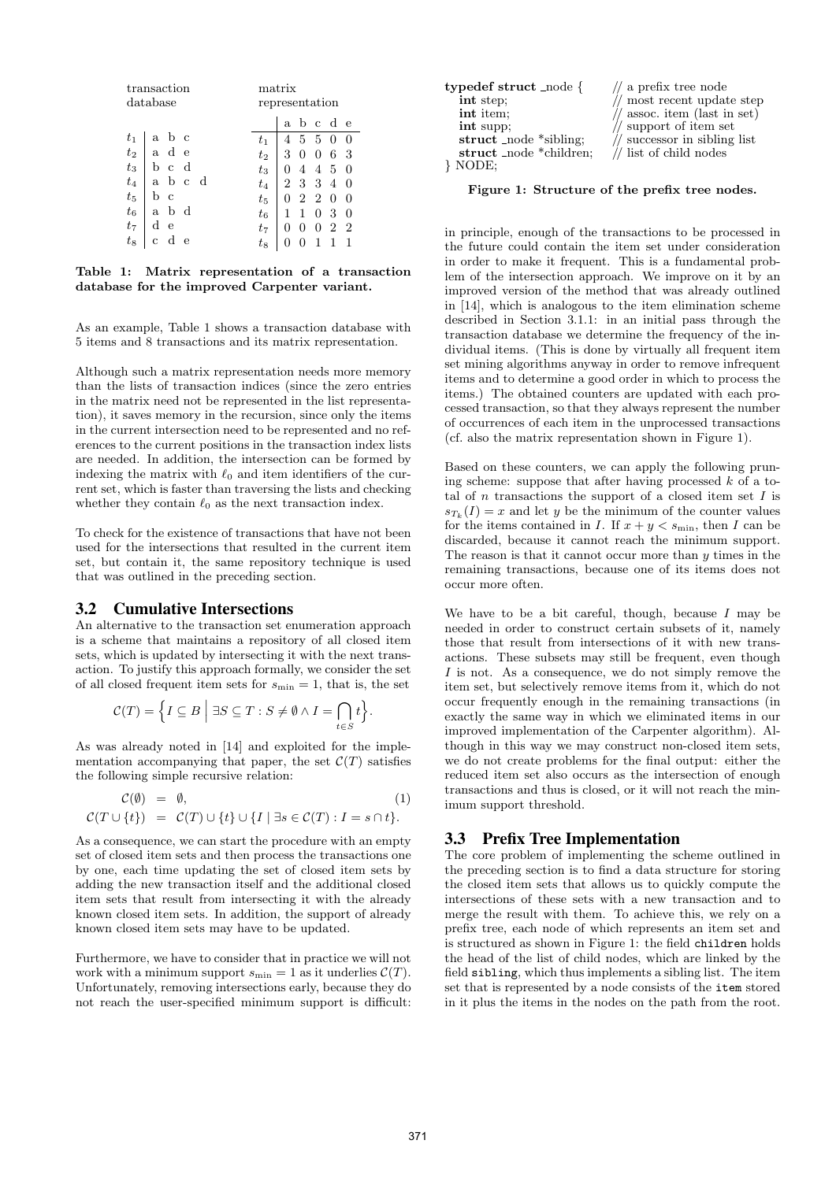| transaction<br>database |                   |              |   | matrix<br>representation |   |            |                |           |                |
|-------------------------|-------------------|--------------|---|--------------------------|---|------------|----------------|-----------|----------------|
|                         |                   |              |   |                          |   |            |                | abcde     |                |
| $\frac{t_1}{t_2}$       | a                 | $\mathbf{c}$ |   | $t_{1}$                  | 4 | 5 5 0      |                |           | $\overline{0}$ |
|                         | a d e             |              |   | $t_2$                    | 3 | $0\quad 0$ |                | 6         | -3             |
| $t_3$                   | c d<br>b          |              |   | $t_3$                    | 0 | 4          |                | 4 5 0     |                |
| $t_4$                   | b c<br>a          |              | d | $t_4$                    |   |            |                | 2 3 3 4 0 |                |
| $t_5$                   | b<br>C            |              |   | $t_{5}$                  | 0 |            | 2 2 0          |           | $\overline{0}$ |
| $t_6$                   | $\mathbf{b}$<br>a | d            |   | $t_{\rm 6}$              |   |            | $\overline{0}$ | - 3       | $\theta$       |
| $t_7$                   | d<br>$\epsilon$   |              |   | $t_7$                    |   |            | 0              |           | $\overline{2}$ |
| $t_8$                   |                   | e            |   | $t_8$                    |   |            |                |           |                |

Table 1: Matrix representation of a transaction database for the improved Carpenter variant.

As an example, Table 1 shows a transaction database with 5 items and 8 transactions and its matrix representation.

Although such a matrix representation needs more memory than the lists of transaction indices (since the zero entries in the matrix need not be represented in the list representation), it saves memory in the recursion, since only the items in the current intersection need to be represented and no references to the current positions in the transaction index lists are needed. In addition, the intersection can be formed by indexing the matrix with  $\ell_0$  and item identifiers of the current set, which is faster than traversing the lists and checking whether they contain  $\ell_0$  as the next transaction index.

To check for the existence of transactions that have not been used for the intersections that resulted in the current item set, but contain it, the same repository technique is used that was outlined in the preceding section.

#### 3.2 Cumulative Intersections

An alternative to the transaction set enumeration approach is a scheme that maintains a repository of all closed item sets, which is updated by intersecting it with the next transaction. To justify this approach formally, we consider the set of all closed frequent item sets for  $s_{\min} = 1$ , that is, the set

$$
\mathcal{C}(T) = \Big\{ I \subseteq B \; \Big| \; \exists S \subseteq T : S \neq \emptyset \land I = \bigcap_{t \in S} t \Big\}.
$$

As was already noted in [14] and exploited for the implementation accompanying that paper, the set  $\mathcal{C}(T)$  satisfies the following simple recursive relation:

$$
\mathcal{C}(\emptyset) = \emptyset, \qquad (1)
$$
  

$$
\mathcal{C}(T \cup \{t\}) = \mathcal{C}(T) \cup \{t\} \cup \{I \mid \exists s \in \mathcal{C}(T) : I = s \cap t\}.
$$

As a consequence, we can start the procedure with an empty set of closed item sets and then process the transactions one by one, each time updating the set of closed item sets by adding the new transaction itself and the additional closed item sets that result from intersecting it with the already known closed item sets. In addition, the support of already known closed item sets may have to be updated.

Furthermore, we have to consider that in practice we will not work with a minimum support  $s_{\min} = 1$  as it underlies  $\mathcal{C}(T)$ . Unfortunately, removing intersections early, because they do not reach the user-specified minimum support is difficult:

| typedef struct _node {  | $\frac{1}{2}$ a prefix tree node               |
|-------------------------|------------------------------------------------|
| int step;               | $\frac{1}{\pi}$ most recent update step        |
| int item:               | $\frac{1}{\sqrt{2}}$ assoc. item (last in set) |
| int supp:               | $\frac{1}{\sqrt{2}}$ support of item set       |
| struct _node *sibling;  | $\frac{1}{\sqrt{2}}$ successor in sibling list |
| struct _node *children; | $\frac{1}{2}$ list of child nodes              |
| $\}$ NODE;              |                                                |

Figure 1: Structure of the prefix tree nodes.

in principle, enough of the transactions to be processed in the future could contain the item set under consideration in order to make it frequent. This is a fundamental problem of the intersection approach. We improve on it by an improved version of the method that was already outlined in [14], which is analogous to the item elimination scheme described in Section 3.1.1: in an initial pass through the transaction database we determine the frequency of the individual items. (This is done by virtually all frequent item set mining algorithms anyway in order to remove infrequent items and to determine a good order in which to process the items.) The obtained counters are updated with each processed transaction, so that they always represent the number of occurrences of each item in the unprocessed transactions (cf. also the matrix representation shown in Figure 1).

Based on these counters, we can apply the following pruning scheme: suppose that after having processed  $k$  of a total of  $n$  transactions the support of a closed item set  $I$  is  $s_{T_k}(I) = x$  and let y be the minimum of the counter values for the items contained in  $I$ . If  $x + y < s_{\min}$ , then  $I$  can be discarded, because it cannot reach the minimum support. The reason is that it cannot occur more than  $y$  times in the remaining transactions, because one of its items does not occur more often.

We have to be a bit careful, though, because  $I$  may be needed in order to construct certain subsets of it, namely those that result from intersections of it with new transactions. These subsets may still be frequent, even though  $I$  is not. As a consequence, we do not simply remove the item set, but selectively remove items from it, which do not occur frequently enough in the remaining transactions (in exactly the same way in which we eliminated items in our improved implementation of the Carpenter algorithm). Although in this way we may construct non-closed item sets, we do not create problems for the final output: either the reduced item set also occurs as the intersection of enough transactions and thus is closed, or it will not reach the minimum support threshold.

#### 3.3 Prefix Tree Implementation

The core problem of implementing the scheme outlined in the preceding section is to find a data structure for storing the closed item sets that allows us to quickly compute the intersections of these sets with a new transaction and to merge the result with them. To achieve this, we rely on a prefix tree, each node of which represents an item set and is structured as shown in Figure 1: the field children holds the head of the list of child nodes, which are linked by the field sibling, which thus implements a sibling list. The item set that is represented by a node consists of the item stored in it plus the items in the nodes on the path from the root.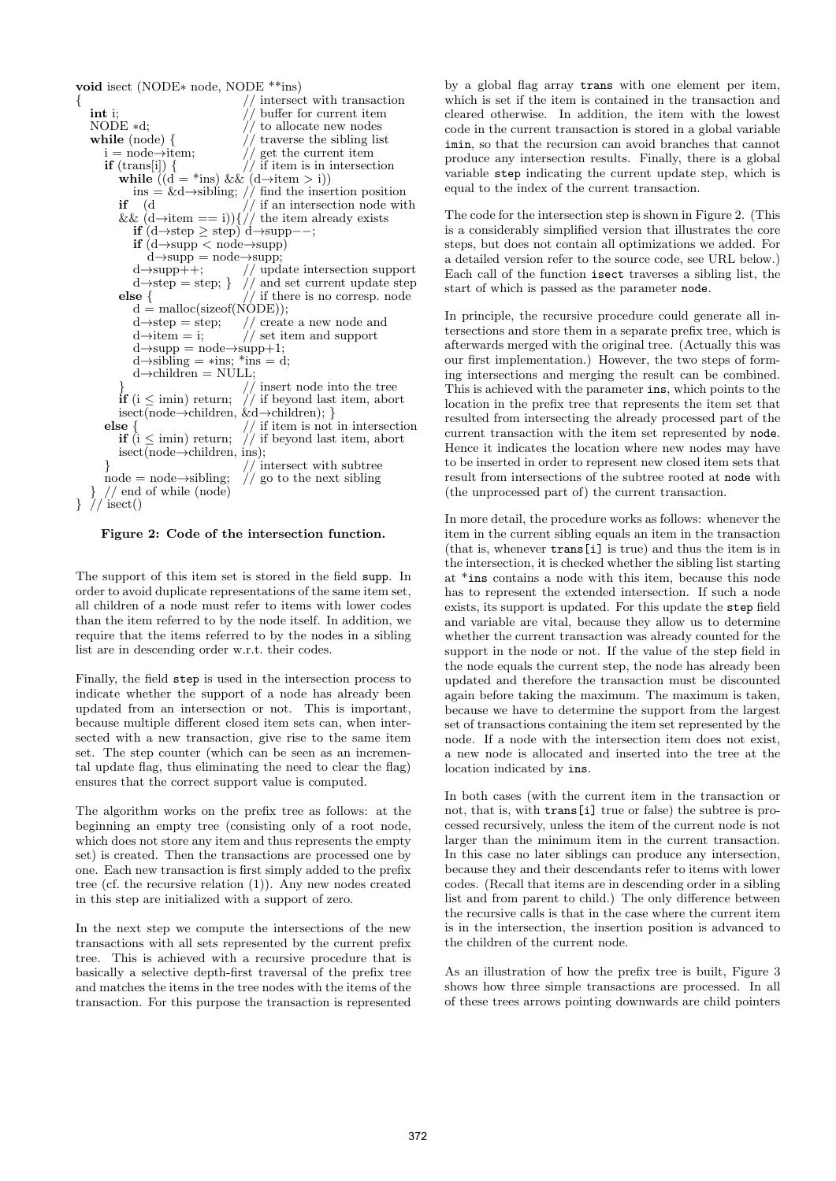void isect (NODE∗ node, NODE \*\*ins)  $\left| \begin{array}{c} \text{if } \\ \text{if } \\ \text{if } \\ \text{if } \\ \end{array} \right|$  / intersect with transaction int is **int** i;  $\frac{1}{\sqrt{\frac{1}{\pi}}}$  // buffer for current item<br>NODE  $*d$ :  $\frac{1}{\sqrt{\pi}}$  to allocate new nodes to allocate new nodes while  $(\text{node})$  {  $\frac{1}{\sqrt{2\pi}}$  / traverse the sibling list i = node→item;  $//$  get the current item<br>if (trans[i]) { // if item is in intersect  $i$  if item is in intersection while  $((d = *ins) \&\& (d \rightarrow item > i))$ ins  $=\&d\rightarrow$ sibling; // find the insertion position (d) // if an intersection node with **if** (d  $\frac{d}{dx}$  // if an intersection node with &&  $(d\rightarrow item == i)$   $f'/f$  the item already exists **if** (d→step  $\geq$  step) d→supp− if (d→supp < node→supp)  $\ddot{d} \rightarrow \text{supp} = \text{node} \rightarrow \text{supp}$ d→supp++;  $//$  update intersection support<br>d→step = step; } // and set current update step d $\rightarrow$ step = step; } // and set current update step<br>else { // if there is no corresp. node  $\frac{1}{4}$  if there is no corresp. node  $d = \text{malloc}(sizeof(NODE));$ d→step = step; // create a new node and<br>d→item = i: // set item and support  $\frac{d}{dx}$  set item and support  $d \rightarrow supp = node \rightarrow supp + 1;$  $d \rightarrow sibling = *ins; *ins = d;$  $d\rightarrow$ children = NULL;  ${}^{}/$  insert node into the tree<br>if (i  $\leq$  imin) return; // if beyond last item, abor  $\frac{1}{\&d \rightarrow \text{children}}$ ; } isect(node→children,  $else$ } se {  $\frac{1}{\pi}$  // if item is not in intersection if (i < imin) return; // if beyond last item, abort  $i$  if beyond last item, abort  $isect(node \rightarrow children, ins);$ intersect with subtree  $node = node \rightarrow sibling;$  // go to the next sibling  $//$  end of while (node)  $\}$  // isect()



The support of this item set is stored in the field supp. In order to avoid duplicate representations of the same item set, all children of a node must refer to items with lower codes than the item referred to by the node itself. In addition, we require that the items referred to by the nodes in a sibling list are in descending order w.r.t. their codes.

Finally, the field step is used in the intersection process to indicate whether the support of a node has already been updated from an intersection or not. This is important, because multiple different closed item sets can, when intersected with a new transaction, give rise to the same item set. The step counter (which can be seen as an incremental update flag, thus eliminating the need to clear the flag) ensures that the correct support value is computed.

The algorithm works on the prefix tree as follows: at the beginning an empty tree (consisting only of a root node, which does not store any item and thus represents the empty set) is created. Then the transactions are processed one by one. Each new transaction is first simply added to the prefix tree (cf. the recursive relation (1)). Any new nodes created in this step are initialized with a support of zero.

In the next step we compute the intersections of the new transactions with all sets represented by the current prefix tree. This is achieved with a recursive procedure that is basically a selective depth-first traversal of the prefix tree and matches the items in the tree nodes with the items of the transaction. For this purpose the transaction is represented

by a global flag array trans with one element per item, which is set if the item is contained in the transaction and cleared otherwise. In addition, the item with the lowest code in the current transaction is stored in a global variable imin, so that the recursion can avoid branches that cannot produce any intersection results. Finally, there is a global variable step indicating the current update step, which is equal to the index of the current transaction.

The code for the intersection step is shown in Figure 2. (This is a considerably simplified version that illustrates the core steps, but does not contain all optimizations we added. For a detailed version refer to the source code, see URL below.) Each call of the function isect traverses a sibling list, the start of which is passed as the parameter node.

In principle, the recursive procedure could generate all intersections and store them in a separate prefix tree, which is afterwards merged with the original tree. (Actually this was our first implementation.) However, the two steps of forming intersections and merging the result can be combined. This is achieved with the parameter ins, which points to the location in the prefix tree that represents the item set that resulted from intersecting the already processed part of the current transaction with the item set represented by node. Hence it indicates the location where new nodes may have to be inserted in order to represent new closed item sets that result from intersections of the subtree rooted at node with (the unprocessed part of) the current transaction.

In more detail, the procedure works as follows: whenever the item in the current sibling equals an item in the transaction (that is, whenever trans[i] is true) and thus the item is in the intersection, it is checked whether the sibling list starting at \*ins contains a node with this item, because this node has to represent the extended intersection. If such a node exists, its support is updated. For this update the step field and variable are vital, because they allow us to determine whether the current transaction was already counted for the support in the node or not. If the value of the step field in the node equals the current step, the node has already been updated and therefore the transaction must be discounted again before taking the maximum. The maximum is taken, because we have to determine the support from the largest set of transactions containing the item set represented by the node. If a node with the intersection item does not exist, a new node is allocated and inserted into the tree at the location indicated by ins.

In both cases (with the current item in the transaction or not, that is, with trans[i] true or false) the subtree is processed recursively, unless the item of the current node is not larger than the minimum item in the current transaction. In this case no later siblings can produce any intersection, because they and their descendants refer to items with lower codes. (Recall that items are in descending order in a sibling list and from parent to child.) The only difference between the recursive calls is that in the case where the current item is in the intersection, the insertion position is advanced to the children of the current node.

As an illustration of how the prefix tree is built, Figure 3 shows how three simple transactions are processed. In all of these trees arrows pointing downwards are child pointers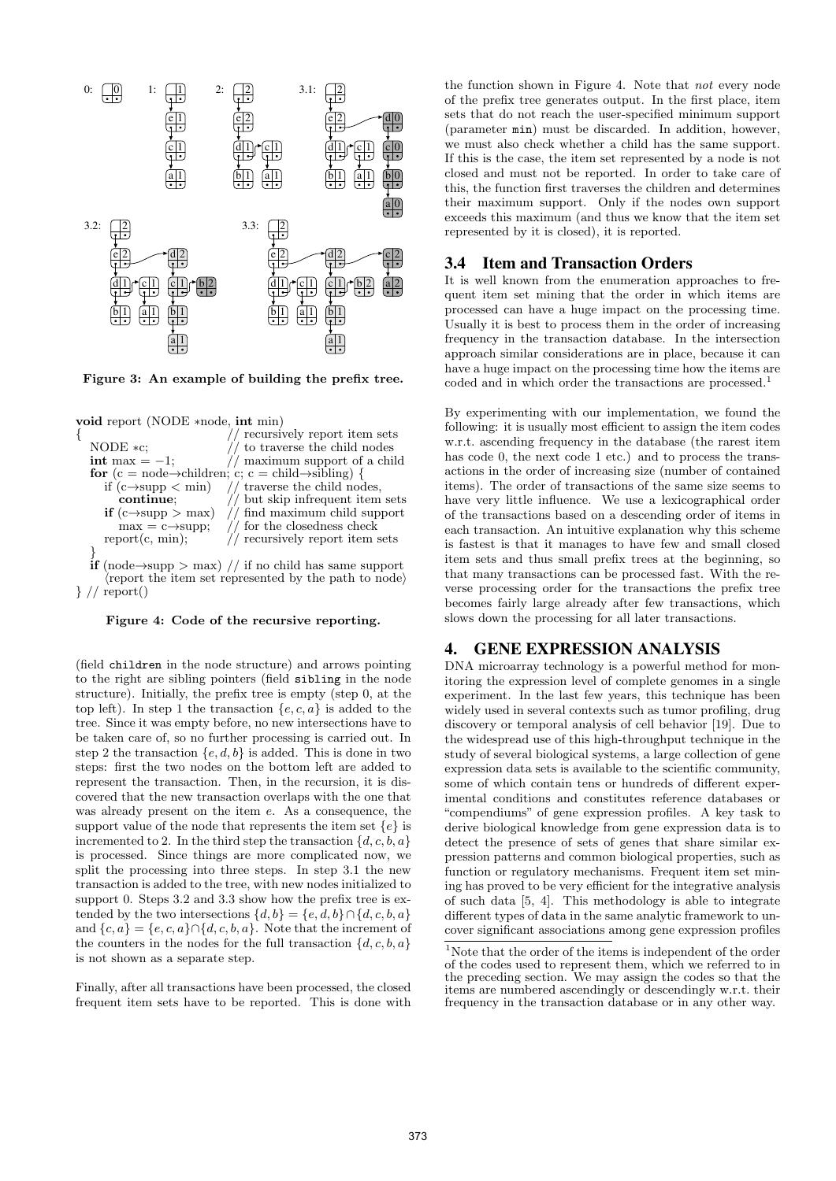

Figure 3: An example of building the prefix tree.



} // report()

Figure 4: Code of the recursive reporting.

(field children in the node structure) and arrows pointing to the right are sibling pointers (field sibling in the node structure). Initially, the prefix tree is empty (step 0, at the top left). In step 1 the transaction  $\{e, c, a\}$  is added to the tree. Since it was empty before, no new intersections have to be taken care of, so no further processing is carried out. In step 2 the transaction  $\{e, d, b\}$  is added. This is done in two steps: first the two nodes on the bottom left are added to represent the transaction. Then, in the recursion, it is discovered that the new transaction overlaps with the one that was already present on the item e. As a consequence, the support value of the node that represents the item set  $\{e\}$  is incremented to 2. In the third step the transaction  $\{d, c, b, a\}$ is processed. Since things are more complicated now, we split the processing into three steps. In step 3.1 the new transaction is added to the tree, with new nodes initialized to support 0. Steps 3.2 and 3.3 show how the prefix tree is extended by the two intersections  $\{d, b\} = \{e, d, b\} \cap \{d, c, b, a\}$ and  $\{c, a\} = \{e, c, a\} \cap \{d, c, b, a\}$ . Note that the increment of the counters in the nodes for the full transaction  $\{d, c, b, a\}$ is not shown as a separate step.

Finally, after all transactions have been processed, the closed frequent item sets have to be reported. This is done with

the function shown in Figure 4. Note that not every node of the prefix tree generates output. In the first place, item sets that do not reach the user-specified minimum support (parameter min) must be discarded. In addition, however, we must also check whether a child has the same support. If this is the case, the item set represented by a node is not closed and must not be reported. In order to take care of this, the function first traverses the children and determines their maximum support. Only if the nodes own support exceeds this maximum (and thus we know that the item set represented by it is closed), it is reported.

## 3.4 Item and Transaction Orders

It is well known from the enumeration approaches to frequent item set mining that the order in which items are processed can have a huge impact on the processing time. Usually it is best to process them in the order of increasing frequency in the transaction database. In the intersection approach similar considerations are in place, because it can have a huge impact on the processing time how the items are coded and in which order the transactions are processed.<sup>1</sup>

By experimenting with our implementation, we found the following: it is usually most efficient to assign the item codes w.r.t. ascending frequency in the database (the rarest item has code 0, the next code 1 etc.) and to process the transactions in the order of increasing size (number of contained items). The order of transactions of the same size seems to have very little influence. We use a lexicographical order of the transactions based on a descending order of items in each transaction. An intuitive explanation why this scheme is fastest is that it manages to have few and small closed item sets and thus small prefix trees at the beginning, so that many transactions can be processed fast. With the reverse processing order for the transactions the prefix tree becomes fairly large already after few transactions, which slows down the processing for all later transactions.

## 4. GENE EXPRESSION ANALYSIS

DNA microarray technology is a powerful method for monitoring the expression level of complete genomes in a single experiment. In the last few years, this technique has been widely used in several contexts such as tumor profiling, drug discovery or temporal analysis of cell behavior [19]. Due to the widespread use of this high-throughput technique in the study of several biological systems, a large collection of gene expression data sets is available to the scientific community, some of which contain tens or hundreds of different experimental conditions and constitutes reference databases or "compendiums" of gene expression profiles. A key task to derive biological knowledge from gene expression data is to detect the presence of sets of genes that share similar expression patterns and common biological properties, such as function or regulatory mechanisms. Frequent item set mining has proved to be very efficient for the integrative analysis of such data [5, 4]. This methodology is able to integrate different types of data in the same analytic framework to uncover significant associations among gene expression profiles

 $^{\rm 1}{\rm Note}$  that the order of the items is independent of the order of the codes used to represent them, which we referred to in the preceding section. We may assign the codes so that the items are numbered ascendingly or descendingly w.r.t. their frequency in the transaction database or in any other way.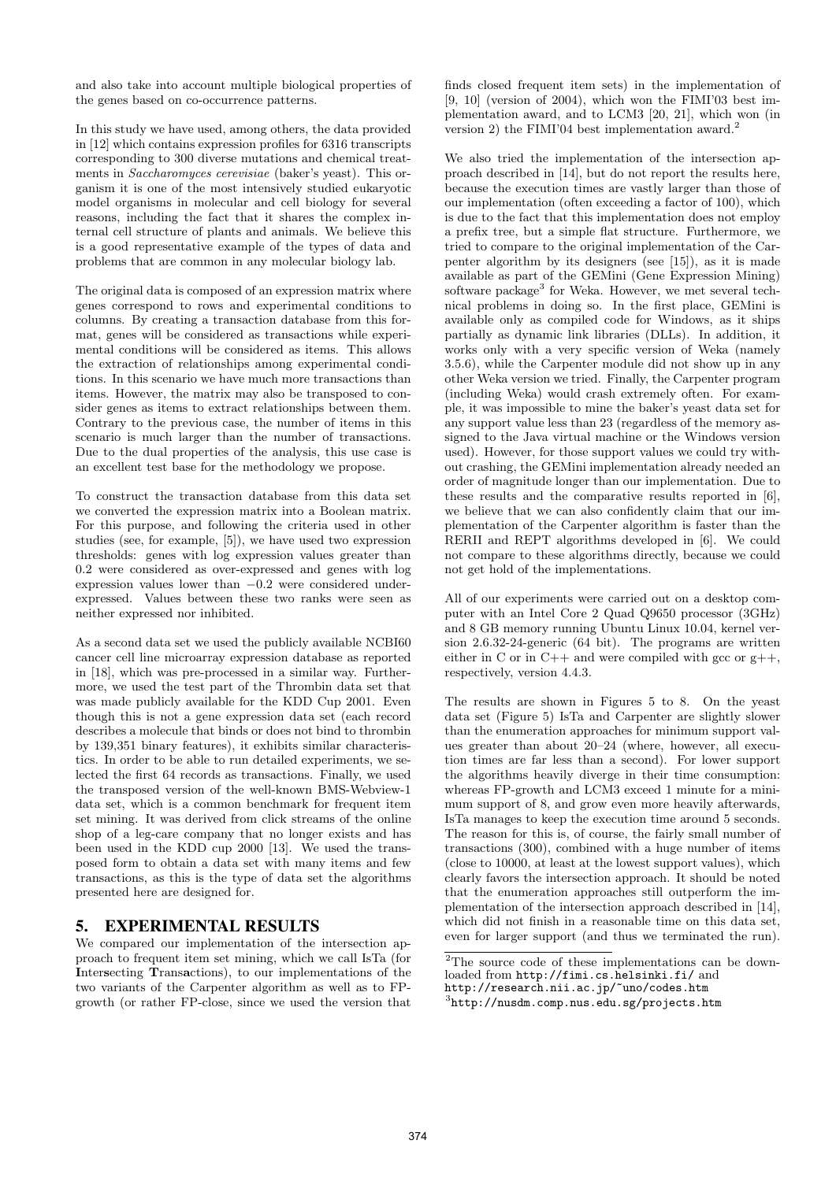and also take into account multiple biological properties of the genes based on co-occurrence patterns.

In this study we have used, among others, the data provided in [12] which contains expression profiles for 6316 transcripts corresponding to 300 diverse mutations and chemical treatments in Saccharomyces cerevisiae (baker's yeast). This organism it is one of the most intensively studied eukaryotic model organisms in molecular and cell biology for several reasons, including the fact that it shares the complex internal cell structure of plants and animals. We believe this is a good representative example of the types of data and problems that are common in any molecular biology lab.

The original data is composed of an expression matrix where genes correspond to rows and experimental conditions to columns. By creating a transaction database from this format, genes will be considered as transactions while experimental conditions will be considered as items. This allows the extraction of relationships among experimental conditions. In this scenario we have much more transactions than items. However, the matrix may also be transposed to consider genes as items to extract relationships between them. Contrary to the previous case, the number of items in this scenario is much larger than the number of transactions. Due to the dual properties of the analysis, this use case is an excellent test base for the methodology we propose.

To construct the transaction database from this data set we converted the expression matrix into a Boolean matrix. For this purpose, and following the criteria used in other studies (see, for example, [5]), we have used two expression thresholds: genes with log expression values greater than 0.2 were considered as over-expressed and genes with log expression values lower than  $-0.2$  were considered underexpressed. Values between these two ranks were seen as neither expressed nor inhibited.

As a second data set we used the publicly available NCBI60 cancer cell line microarray expression database as reported in [18], which was pre-processed in a similar way. Furthermore, we used the test part of the Thrombin data set that was made publicly available for the KDD Cup 2001. Even though this is not a gene expression data set (each record describes a molecule that binds or does not bind to thrombin by 139,351 binary features), it exhibits similar characteristics. In order to be able to run detailed experiments, we selected the first 64 records as transactions. Finally, we used the transposed version of the well-known BMS-Webview-1 data set, which is a common benchmark for frequent item set mining. It was derived from click streams of the online shop of a leg-care company that no longer exists and has been used in the KDD cup 2000 [13]. We used the transposed form to obtain a data set with many items and few transactions, as this is the type of data set the algorithms presented here are designed for.

# 5. EXPERIMENTAL RESULTS

We compared our implementation of the intersection approach to frequent item set mining, which we call IsTa (for Intersecting Transactions), to our implementations of the two variants of the Carpenter algorithm as well as to FPgrowth (or rather FP-close, since we used the version that

finds closed frequent item sets) in the implementation of [9, 10] (version of 2004), which won the FIMI'03 best implementation award, and to LCM3 [20, 21], which won (in version 2) the FIMI'04 best implementation award.<sup>2</sup>

We also tried the implementation of the intersection approach described in [14], but do not report the results here, because the execution times are vastly larger than those of our implementation (often exceeding a factor of 100), which is due to the fact that this implementation does not employ a prefix tree, but a simple flat structure. Furthermore, we tried to compare to the original implementation of the Carpenter algorithm by its designers (see [15]), as it is made available as part of the GEMini (Gene Expression Mining) software package<sup>3</sup> for Weka. However, we met several technical problems in doing so. In the first place, GEMini is available only as compiled code for Windows, as it ships partially as dynamic link libraries (DLLs). In addition, it works only with a very specific version of Weka (namely 3.5.6), while the Carpenter module did not show up in any other Weka version we tried. Finally, the Carpenter program (including Weka) would crash extremely often. For example, it was impossible to mine the baker's yeast data set for any support value less than 23 (regardless of the memory assigned to the Java virtual machine or the Windows version used). However, for those support values we could try without crashing, the GEMini implementation already needed an order of magnitude longer than our implementation. Due to these results and the comparative results reported in [6], we believe that we can also confidently claim that our implementation of the Carpenter algorithm is faster than the RERII and REPT algorithms developed in [6]. We could not compare to these algorithms directly, because we could not get hold of the implementations.

All of our experiments were carried out on a desktop computer with an Intel Core 2 Quad Q9650 processor (3GHz) and 8 GB memory running Ubuntu Linux 10.04, kernel version 2.6.32-24-generic (64 bit). The programs are written either in C or in  $C++$  and were compiled with gcc or  $g++$ , respectively, version 4.4.3.

The results are shown in Figures 5 to 8. On the yeast data set (Figure 5) IsTa and Carpenter are slightly slower than the enumeration approaches for minimum support values greater than about 20–24 (where, however, all execution times are far less than a second). For lower support the algorithms heavily diverge in their time consumption: whereas FP-growth and LCM3 exceed 1 minute for a minimum support of 8, and grow even more heavily afterwards, IsTa manages to keep the execution time around 5 seconds. The reason for this is, of course, the fairly small number of transactions (300), combined with a huge number of items (close to 10000, at least at the lowest support values), which clearly favors the intersection approach. It should be noted that the enumeration approaches still outperform the implementation of the intersection approach described in [14], which did not finish in a reasonable time on this data set, even for larger support (and thus we terminated the run).

<sup>2</sup>The source code of these implementations can be downloaded from http://fimi.cs.helsinki.fi/ and

http://research.nii.ac.jp/~uno/codes.htm

 $3$ http://nusdm.comp.nus.edu.sg/projects.htm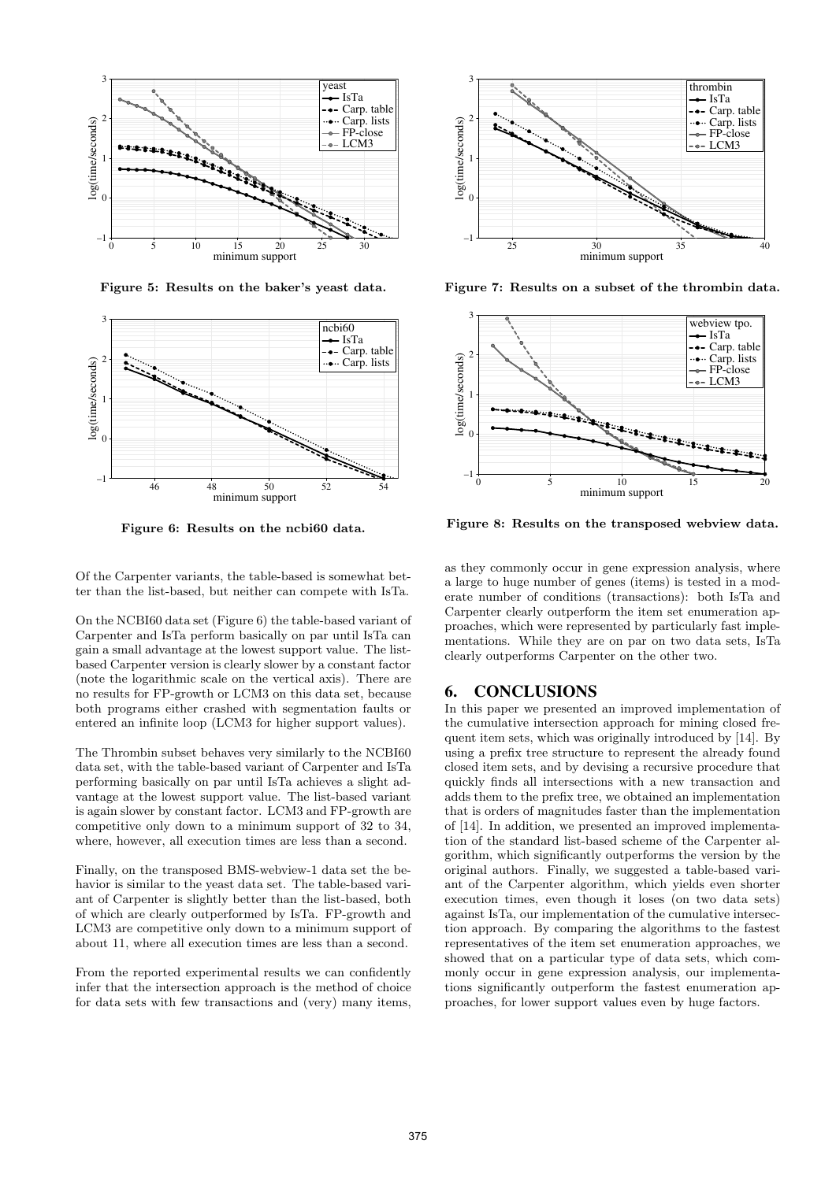

Figure 5: Results on the baker's yeast data.



Figure 6: Results on the ncbi60 data.

Of the Carpenter variants, the table-based is somewhat better than the list-based, but neither can compete with IsTa.

On the NCBI60 data set (Figure 6) the table-based variant of Carpenter and IsTa perform basically on par until IsTa can gain a small advantage at the lowest support value. The listbased Carpenter version is clearly slower by a constant factor (note the logarithmic scale on the vertical axis). There are no results for FP-growth or LCM3 on this data set, because both programs either crashed with segmentation faults or entered an infinite loop (LCM3 for higher support values).

The Thrombin subset behaves very similarly to the NCBI60 data set, with the table-based variant of Carpenter and IsTa performing basically on par until IsTa achieves a slight advantage at the lowest support value. The list-based variant is again slower by constant factor. LCM3 and FP-growth are competitive only down to a minimum support of 32 to 34, where, however, all execution times are less than a second.

Finally, on the transposed BMS-webview-1 data set the behavior is similar to the yeast data set. The table-based variant of Carpenter is slightly better than the list-based, both of which are clearly outperformed by IsTa. FP-growth and LCM3 are competitive only down to a minimum support of about 11, where all execution times are less than a second.

From the reported experimental results we can confidently infer that the intersection approach is the method of choice for data sets with few transactions and (very) many items,



Figure 7: Results on a subset of the thrombin data.



Figure 8: Results on the transposed webview data.

as they commonly occur in gene expression analysis, where a large to huge number of genes (items) is tested in a moderate number of conditions (transactions): both IsTa and Carpenter clearly outperform the item set enumeration approaches, which were represented by particularly fast implementations. While they are on par on two data sets, IsTa clearly outperforms Carpenter on the other two.

#### 6. CONCLUSIONS

In this paper we presented an improved implementation of the cumulative intersection approach for mining closed frequent item sets, which was originally introduced by [14]. By using a prefix tree structure to represent the already found closed item sets, and by devising a recursive procedure that quickly finds all intersections with a new transaction and adds them to the prefix tree, we obtained an implementation that is orders of magnitudes faster than the implementation of [14]. In addition, we presented an improved implementation of the standard list-based scheme of the Carpenter algorithm, which significantly outperforms the version by the original authors. Finally, we suggested a table-based variant of the Carpenter algorithm, which yields even shorter execution times, even though it loses (on two data sets) against IsTa, our implementation of the cumulative intersection approach. By comparing the algorithms to the fastest representatives of the item set enumeration approaches, we showed that on a particular type of data sets, which commonly occur in gene expression analysis, our implementations significantly outperform the fastest enumeration approaches, for lower support values even by huge factors.